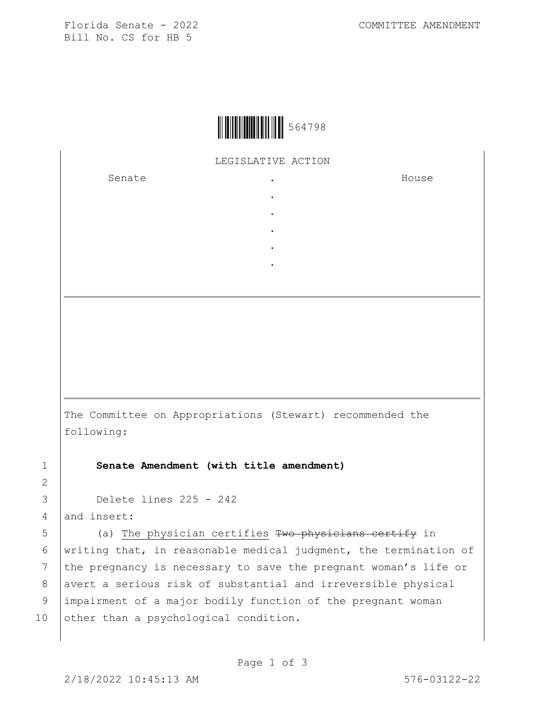Florida Senate - 2022 COMMITTEE AMENDMENT Bill No. CS for HB 5



LEGISLATIVE ACTION

. . . . .

Senate .

House

The Committee on Appropriations (Stewart) recommended the following:

1 **Senate Amendment (with title amendment)**

3 Delete lines 225 - 242

4 and insert:

2

5 (a) The physician certifies Two physicians certify in 6 | writing that, in reasonable medical judgment, the termination of 7 the pregnancy is necessary to save the pregnant woman's life or 8 | avert a serious risk of substantial and irreversible physical 9 impairment of a major bodily function of the pregnant woman 10 other than a psychological condition.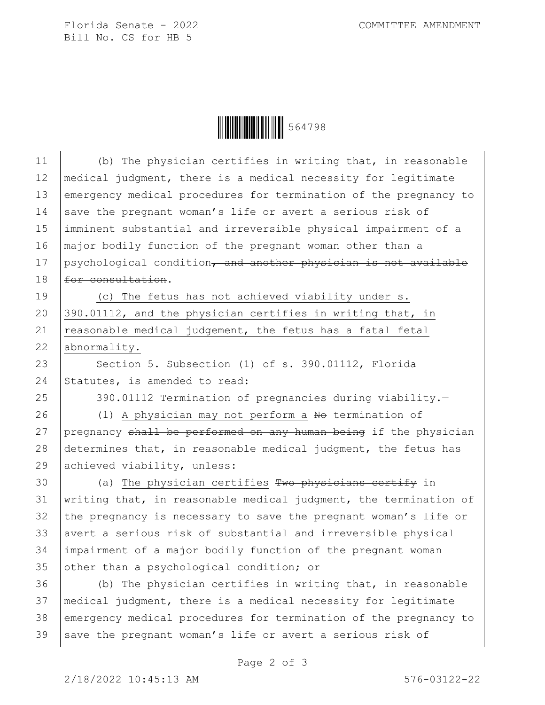Florida Senate - 2022 COMMITTEE AMENDMENT Bill No. CS for HB 5



| 11 | (b) The physician certifies in writing that, in reasonable       |
|----|------------------------------------------------------------------|
| 12 | medical judgment, there is a medical necessity for legitimate    |
| 13 | emergency medical procedures for termination of the pregnancy to |
| 14 | save the pregnant woman's life or avert a serious risk of        |
| 15 | imminent substantial and irreversible physical impairment of a   |
| 16 | major bodily function of the pregnant woman other than a         |
| 17 | psychological condition, and another physician is not available  |
| 18 | for consultation.                                                |
| 19 | (c) The fetus has not achieved viability under s.                |
| 20 | 390.01112, and the physician certifies in writing that, in       |
| 21 | reasonable medical judgement, the fetus has a fatal fetal        |
| 22 | abnormality.                                                     |
| 23 | Section 5. Subsection (1) of s. 390.01112, Florida               |
| 24 | Statutes, is amended to read:                                    |
| 25 | 390.01112 Termination of pregnancies during viability.-          |
| 26 | (1) A physician may not perform a No termination of              |
| 27 | pregnancy shall be performed on any human being if the physician |
| 28 | determines that, in reasonable medical judgment, the fetus has   |
| 29 | achieved viability, unless:                                      |
| 30 | (a) The physician certifies Two physicians certify in            |
| 31 | writing that, in reasonable medical judgment, the termination of |
| 32 | the pregnancy is necessary to save the pregnant woman's life or  |
| 33 | avert a serious risk of substantial and irreversible physical    |
| 34 | impairment of a major bodily function of the pregnant woman      |
| 35 | other than a psychological condition; or                         |
| 36 | (b) The physician certifies in writing that, in reasonable       |
| 37 | medical judgment, there is a medical necessity for legitimate    |
| 38 | emergency medical procedures for termination of the pregnancy to |
| 39 | save the pregnant woman's life or avert a serious risk of        |

Page 2 of 3